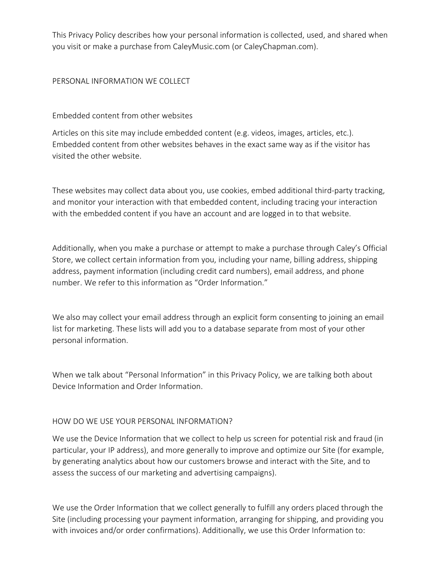This Privacy Policy describes how your personal information is collected, used, and shared when you visit or make a purchase from CaleyMusic.com (or CaleyChapman.com).

#### PERSONAL INFORMATION WE COLLECT

Embedded content from other websites

Articles on this site may include embedded content (e.g. videos, images, articles, etc.). Embedded content from other websites behaves in the exact same way as if the visitor has visited the other website.

These websites may collect data about you, use cookies, embed additional third-party tracking, and monitor your interaction with that embedded content, including tracing your interaction with the embedded content if you have an account and are logged in to that website.

Additionally, when you make a purchase or attempt to make a purchase through Caley's Official Store, we collect certain information from you, including your name, billing address, shipping address, payment information (including credit card numbers), email address, and phone number. We refer to this information as "Order Information."

We also may collect your email address through an explicit form consenting to joining an email list for marketing. These lists will add you to a database separate from most of your other personal information.

When we talk about "Personal Information" in this Privacy Policy, we are talking both about Device Information and Order Information.

### HOW DO WE USE YOUR PERSONAL INFORMATION?

We use the Device Information that we collect to help us screen for potential risk and fraud (in particular, your IP address), and more generally to improve and optimize our Site (for example, by generating analytics about how our customers browse and interact with the Site, and to assess the success of our marketing and advertising campaigns).

We use the Order Information that we collect generally to fulfill any orders placed through the Site (including processing your payment information, arranging for shipping, and providing you with invoices and/or order confirmations). Additionally, we use this Order Information to: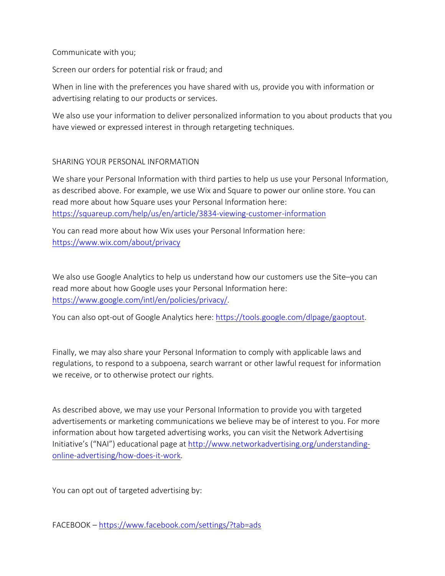Communicate with you;

Screen our orders for potential risk or fraud; and

When in line with the preferences you have shared with us, provide you with information or advertising relating to our products or services.

We also use your information to deliver personalized information to you about products that you have viewed or expressed interest in through retargeting techniques.

## SHARING YOUR PERSONAL INFORMATION

We share your Personal Information with third parties to help us use your Personal Information, as described above. For example, we use Wix and Square to power our online store. You can read more about how Square uses your Personal Information here: https://squareup.com/help/us/en/article/3834-viewing-customer-information

You can read more about how Wix uses your Personal Information here: https://www.wix.com/about/privacy

We also use Google Analytics to help us understand how our customers use the Site–you can read more about how Google uses your Personal Information here: https://www.google.com/intl/en/policies/privacy/.

You can also opt-out of Google Analytics here: https://tools.google.com/dlpage/gaoptout.

Finally, we may also share your Personal Information to comply with applicable laws and regulations, to respond to a subpoena, search warrant or other lawful request for information we receive, or to otherwise protect our rights.

As described above, we may use your Personal Information to provide you with targeted advertisements or marketing communications we believe may be of interest to you. For more information about how targeted advertising works, you can visit the Network Advertising Initiative's ("NAI") educational page at http://www.networkadvertising.org/understandingonline-advertising/how-does-it-work.

You can opt out of targeted advertising by:

FACEBOOK – https://www.facebook.com/settings/?tab=ads